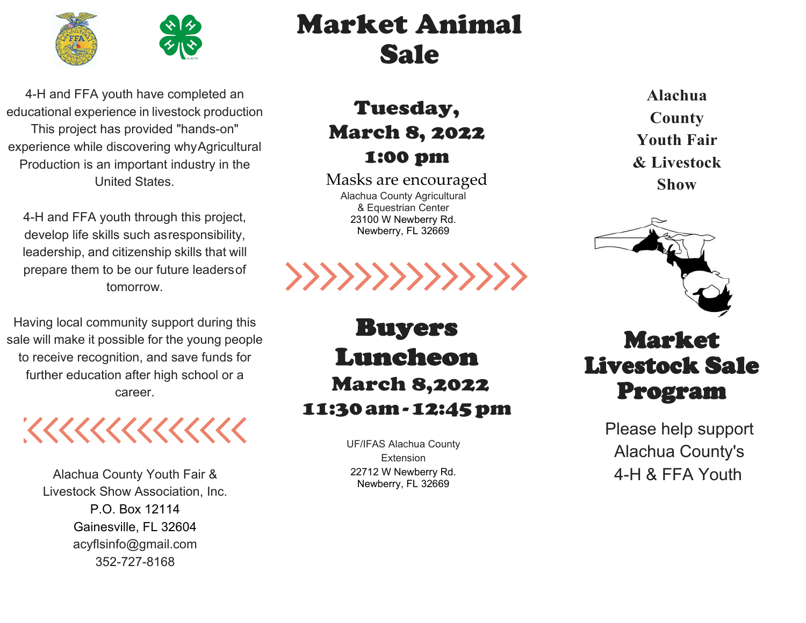

4-H and FFA youth have completed an educational experience in livestock production This project has provided "hands-on" experience while discovering whyAgricultural Production is an important industry in the United States.

4-H and FFA youth through this project, develop life skills such asresponsibility, leadership, and citizenship skills that will prepare them to be our future leadersof tomorrow.

Having local community support during this sale will make it possible for the young people to receive recognition, and save funds for further education after high school or a career.

1111111111111

Alachua County Youth Fair & Livestock Show Association, Inc. P.O. Box 12114 Gainesville, FL 3260[4](mailto:acyflsinfo@gmail.com) [acyflsinfo@gmail.com](mailto:acyflsinfo@gmail.com) 352-727-8168

## Market Animal Sale

Tuesday, March 8, 2022 1:00 pm

Masks are encouraged Alachua County Agricultural & Equestrian Center 23100 W Newberry Rd. Newberry, FL 32669



**Alachua County Youth Fair & Livestock Show**



Buyers Luncheon March 8,2022 11:30am-12:45pm

> UF/IFAS Alachua County **Extension** 22712 W Newberry Rd. Newberry, FL 32669

### Market Livestock Sale Program

Please help support Alachua County's 4-H & FFA Youth